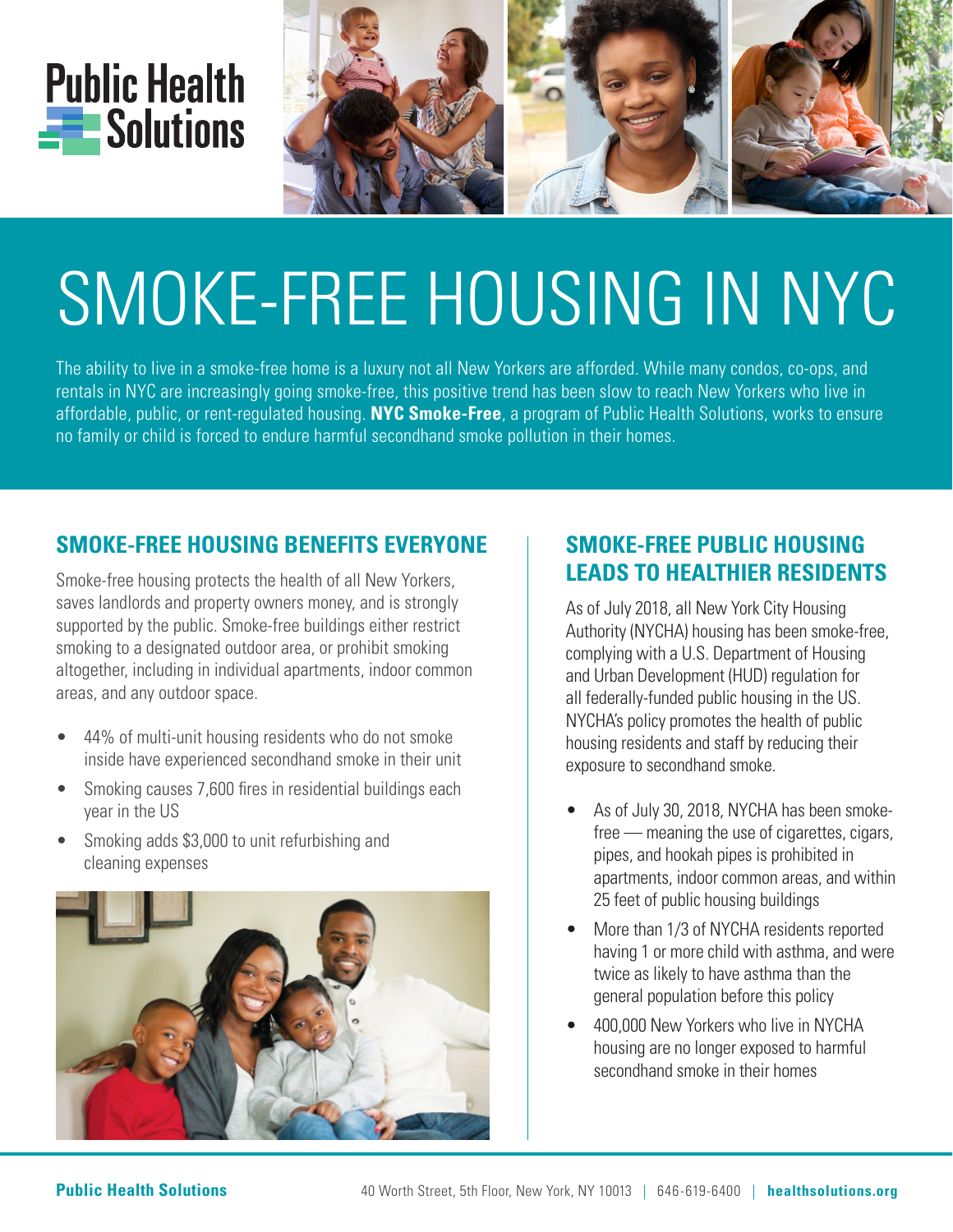



# SMOKE-FREE HOUSING IN NYC

The ability to live in a smoke-free home is a luxury not all New Yorkers are afforded. While many condos, co-ops, and rentals in NYC are increasingly going smoke-free, this positive trend has been slow to reach New Yorkers who live in affordable, public, or rent-regulated housing. **NYC Smoke-Free**, a program of Public Health Solutions, works to ensure no family or child is forced to endure harmful secondhand smoke pollution in their homes.

## **SMOKE-FREE HOUSING BENEFITS EVERYONE**

Smoke-free housing protects the health of all New Yorkers, saves landlords and property owners money, and is strongly supported by the public. Smoke-free buildings either restrict smoking to a designated outdoor area, or prohibit smoking altogether, including in individual apartments, indoor common areas, and any outdoor space.

- 44% of multi-unit housing residents who do not smoke inside have experienced secondhand smoke in their unit
- Smoking causes 7,600 fires in residential buildings each year in the US
- Smoking adds \$3,000 to unit refurbishing and cleaning expenses



## **SMOKE-FREE PUBLIC HOUSING LEADS TO HEALTHIER RESIDENTS**

As of July 2018, all New York City Housing Authority (NYCHA) housing has been smoke-free, complying with a U.S. Department of Housing and Urban Development (HUD) regulation for all federally-funded public housing in the US. NYCHA's policy promotes the health of public housing residents and staff by reducing their exposure to secondhand smoke.

- As of July 30, 2018, NYCHA has been smokefree — meaning the use of cigarettes, cigars, pipes, and hookah pipes is prohibited in apartments, indoor common areas, and within 25 feet of public housing buildings
- More than 1/3 of NYCHA residents reported having 1 or more child with asthma, and were twice as likely to have asthma than the general population before this policy
- 400,000 New Yorkers who live in NYCHA housing are no longer exposed to harmful secondhand smoke in their homes